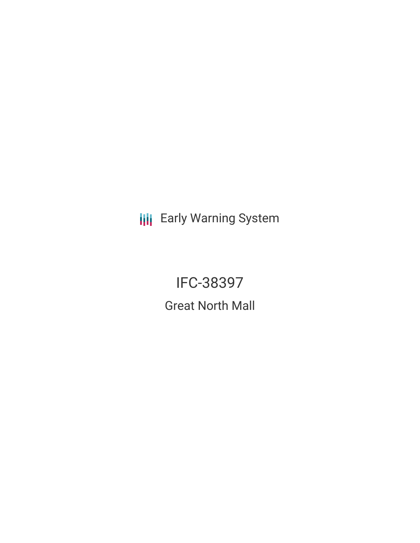**III** Early Warning System

IFC-38397 Great North Mall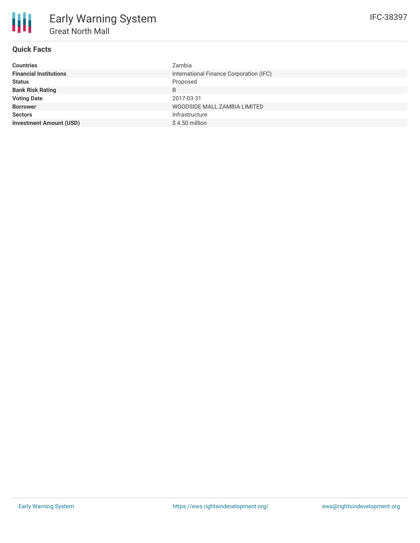# **Quick Facts**

| <b>Countries</b>               | Zambia                                  |
|--------------------------------|-----------------------------------------|
| <b>Financial Institutions</b>  | International Finance Corporation (IFC) |
| <b>Status</b>                  | Proposed                                |
| <b>Bank Risk Rating</b>        | B                                       |
| <b>Voting Date</b>             | 2017-03-31                              |
| <b>Borrower</b>                | WOODSIDE MALL ZAMBIA LIMITED            |
| <b>Sectors</b>                 | Infrastructure                          |
| <b>Investment Amount (USD)</b> | $$4.50$ million                         |
|                                |                                         |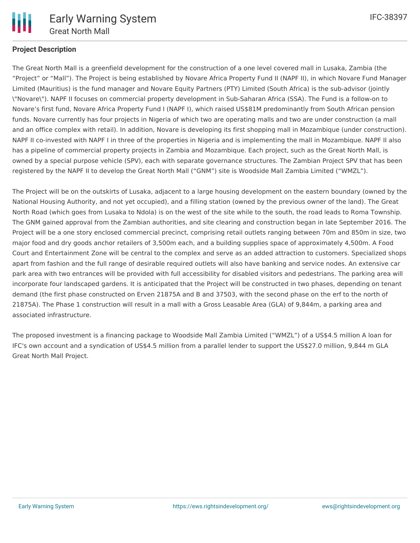

## **Project Description**

The Great North Mall is a greenfield development for the construction of a one level covered mall in Lusaka, Zambia (the "Project" or "Mall"). The Project is being established by Novare Africa Property Fund II (NAPF II), in which Novare Fund Manager Limited (Mauritius) is the fund manager and Novare Equity Partners (PTY) Limited (South Africa) is the sub-advisor (jointly \"Novare\"). NAPF II focuses on commercial property development in Sub-Saharan Africa (SSA). The Fund is a follow-on to Novare's first fund, Novare Africa Property Fund I (NAPF I), which raised US\$81M predominantly from South African pension funds. Novare currently has four projects in Nigeria of which two are operating malls and two are under construction (a mall and an office complex with retail). In addition, Novare is developing its first shopping mall in Mozambique (under construction). NAPF II co-invested with NAPF I in three of the properties in Nigeria and is implementing the mall in Mozambique. NAPF II also has a pipeline of commercial property projects in Zambia and Mozambique. Each project, such as the Great North Mall, is owned by a special purpose vehicle (SPV), each with separate governance structures. The Zambian Project SPV that has been registered by the NAPF II to develop the Great North Mall ("GNM") site is Woodside Mall Zambia Limited ("WMZL").

The Project will be on the outskirts of Lusaka, adjacent to a large housing development on the eastern boundary (owned by the National Housing Authority, and not yet occupied), and a filling station (owned by the previous owner of the land). The Great North Road (which goes from Lusaka to Ndola) is on the west of the site while to the south, the road leads to Roma Township. The GNM gained approval from the Zambian authorities, and site clearing and construction began in late September 2016. The Project will be a one story enclosed commercial precinct, comprising retail outlets ranging between 70m and 850m in size, two major food and dry goods anchor retailers of 3,500m each, and a building supplies space of approximately 4,500m. A Food Court and Entertainment Zone will be central to the complex and serve as an added attraction to customers. Specialized shops apart from fashion and the full range of desirable required outlets will also have banking and service nodes. An extensive car park area with two entrances will be provided with full accessibility for disabled visitors and pedestrians. The parking area will incorporate four landscaped gardens. It is anticipated that the Project will be constructed in two phases, depending on tenant demand (the first phase constructed on Erven 21875A and B and 37503, with the second phase on the erf to the north of 21875A). The Phase 1 construction will result in a mall with a Gross Leasable Area (GLA) of 9,844m, a parking area and associated infrastructure.

The proposed investment is a financing package to Woodside Mall Zambia Limited ("WMZL") of a US\$4.5 million A loan for IFC's own account and a syndication of US\$4.5 million from a parallel lender to support the US\$27.0 million, 9,844 m GLA Great North Mall Project.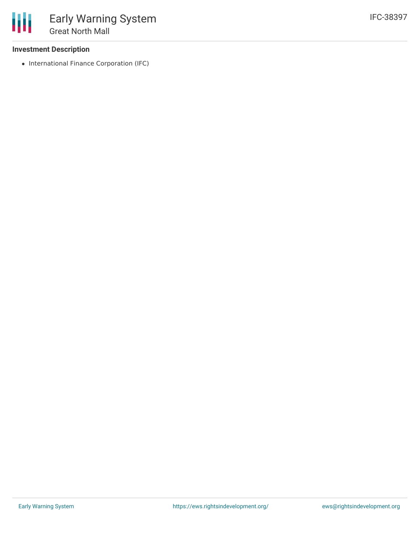### **Investment Description**

• International Finance Corporation (IFC)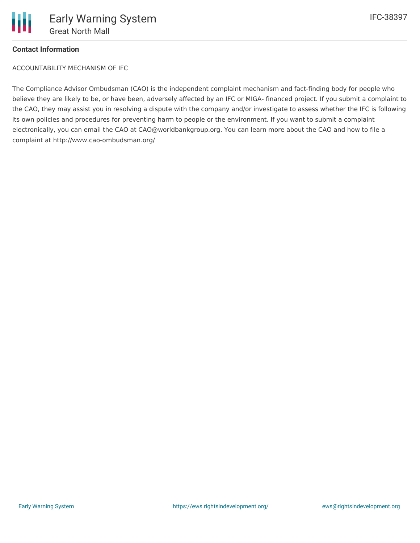

### **Contact Information**

ACCOUNTABILITY MECHANISM OF IFC

The Compliance Advisor Ombudsman (CAO) is the independent complaint mechanism and fact-finding body for people who believe they are likely to be, or have been, adversely affected by an IFC or MIGA- financed project. If you submit a complaint to the CAO, they may assist you in resolving a dispute with the company and/or investigate to assess whether the IFC is following its own policies and procedures for preventing harm to people or the environment. If you want to submit a complaint electronically, you can email the CAO at CAO@worldbankgroup.org. You can learn more about the CAO and how to file a complaint at http://www.cao-ombudsman.org/